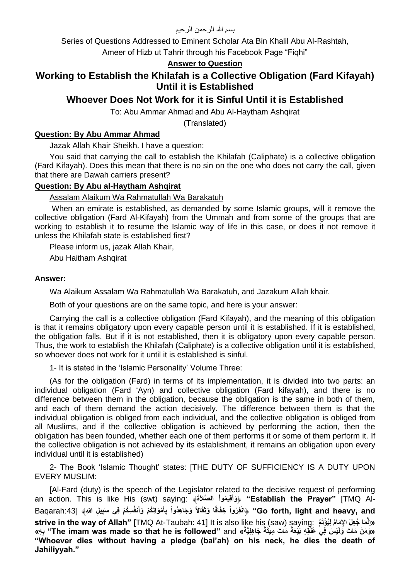بسم الله الرحمن الرحيم

Series of Questions Addressed to Eminent Scholar Ata Bin Khalil Abu Al-Rashtah,

Ameer of Hizb ut Tahrir through his Facebook Page "Fighi"

### **Answer to Question**

# **Working to Establish the Khilafah is a Collective Obligation (Fard Kifayah) Until it is Established**

# **Whoever Does Not Work for it is Sinful Until it is Established**

To: Abu Ammar Ahmad and Abu Al-Haytham Ashqirat

(Translated)

#### **Question: By Abu Ammar Ahmad**

Jazak Allah Khair Sheikh. I have a question:

You said that carrying the call to establish the Khilafah (Caliphate) is a collective obligation (Fard Kifayah). Does this mean that there is no sin on the one who does not carry the call, given that there are Dawah carriers present?

#### **Question: By Abu al-Haytham Ashqirat**

Assalam Alaikum Wa Rahmatullah Wa Barakatuh

When an emirate is established, as demanded by some Islamic groups, will it remove the collective obligation (Fard Al-Kifayah) from the Ummah and from some of the groups that are working to establish it to resume the Islamic way of life in this case, or does it not remove it unless the Khilafah state is established first?

Please inform us, jazak Allah Khair,

Abu Haitham Ashqirat

#### **Answer:**

Wa Alaikum Assalam Wa Rahmatullah Wa Barakatuh, and Jazakum Allah khair.

Both of your questions are on the same topic, and here is your answer:

Carrying the call is a collective obligation (Fard Kifayah), and the meaning of this obligation is that it remains obligatory upon every capable person until it is established. If it is established, the obligation falls. But if it is not established, then it is obligatory upon every capable person. Thus, the work to establish the Khilafah (Caliphate) is a collective obligation until it is established, so whoever does not work for it until it is established is sinful.

1- It is stated in the 'Islamic Personality' Volume Three:

(As for the obligation (Fard) in terms of its implementation, it is divided into two parts: an individual obligation (Fard 'Ayn) and collective obligation (Fard kifayah), and there is no difference between them in the obligation, because the obligation is the same in both of them, and each of them demand the action decisively. The difference between them is that the individual obligation is obliged from each individual, and the collective obligation is obliged from all Muslims, and if the collective obligation is achieved by performing the action, then the obligation has been founded, whether each one of them performs it or some of them perform it. If the collective obligation is not achieved by its establishment, it remains an obligation upon every individual until it is established)

2- The Book 'Islamic Thought' states: [THE DUTY OF SUFFICIENCY IS A DUTY UPON EVERY MUSLIM:

[Al-Fard (duty) is the speech of the Legislator related to the decisive request of performing an action. This is like His (swt) saying: ﴾**َةَصالَّ ال ْمواُ يِق وأَ"** ﴿ **Establish the Prayer"** [TMQ Al-**َ** Go forth, light and heavy, and'' ﴿انْفِرُواْ خِفَافًا وَتِّقَالاً وَجَاهِدُواْ بِأَمْوَالِكُمْ وَأَنفُسِكُمْ فِي سَبِيلِ اللهِ﴾ [23:Baqarah **َ َ strive in the way of Allah"** [TMQ At-Taubah: 41] It is also like his (saw) saying: **مَّ ُم ِليُ ْؤتَ ِإل َما َما ُجِع َل ا ِنَّ »إ** «وَمَنْ مَاتَ وَلَئِسُ فِي عُثُقِهِ بَيْعَةً مَاتَ مِيتَةً جَاهِلِيَّةً» The imam was made so that he is followed" and " بِهِ» **"Whoever dies without having a pledge (bai'ah) on his neck, he dies the death of Jahiliyyah."**